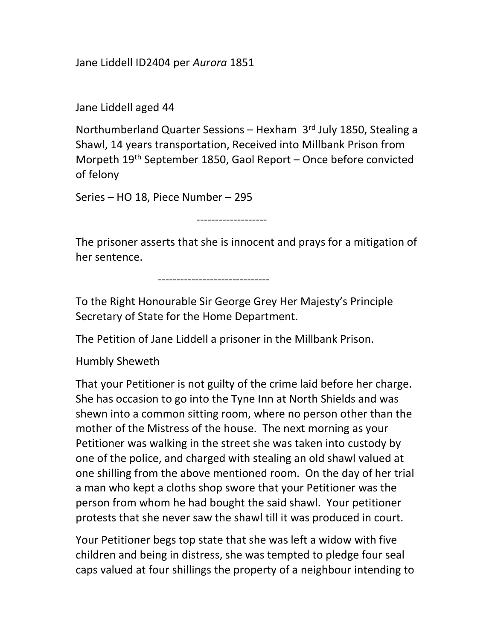Jane Liddell ID2404 per Aurora 1851

Jane Liddell aged 44

Northumberland Quarter Sessions – Hexham 3rd July 1850, Stealing a Shawl, 14 years transportation, Received into Millbank Prison from Morpeth 19<sup>th</sup> September 1850, Gaol Report – Once before convicted of felony

Series – HO 18, Piece Number – 295

-------------------

The prisoner asserts that she is innocent and prays for a mitigation of her sentence.

------------------------------

To the Right Honourable Sir George Grey Her Majesty's Principle Secretary of State for the Home Department.

The Petition of Jane Liddell a prisoner in the Millbank Prison.

Humbly Sheweth

That your Petitioner is not guilty of the crime laid before her charge. She has occasion to go into the Tyne Inn at North Shields and was shewn into a common sitting room, where no person other than the mother of the Mistress of the house. The next morning as your Petitioner was walking in the street she was taken into custody by one of the police, and charged with stealing an old shawl valued at one shilling from the above mentioned room. On the day of her trial a man who kept a cloths shop swore that your Petitioner was the person from whom he had bought the said shawl. Your petitioner protests that she never saw the shawl till it was produced in court.

Your Petitioner begs top state that she was left a widow with five children and being in distress, she was tempted to pledge four seal caps valued at four shillings the property of a neighbour intending to